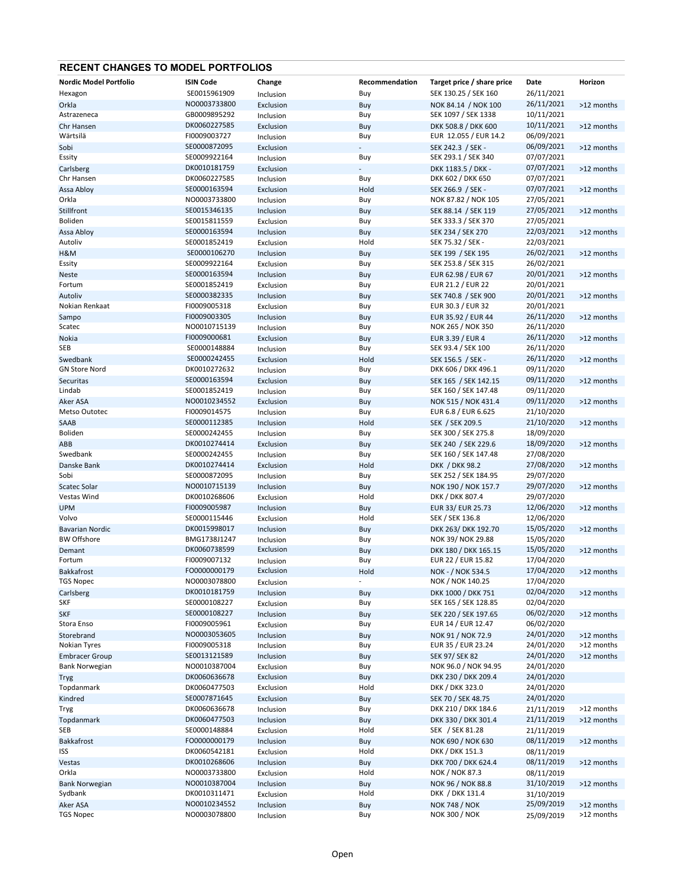## RECENT CHANGES TO MODEL PORTFOLIOS

| Nordic Model Portfolio | <b>ISIN Code</b> | Change    | Recommendation | Target price / share price | Date       | Horizon    |
|------------------------|------------------|-----------|----------------|----------------------------|------------|------------|
| Hexagon                | SE0015961909     | Inclusion | Buy            | SEK 130.25 / SEK 160       | 26/11/2021 |            |
| Orkla                  | NO0003733800     | Exclusion | Buy            | NOK 84.14 / NOK 100        | 26/11/2021 | >12 months |
| Astrazeneca            | GB0009895292     | Inclusion | Buy            | SEK 1097 / SEK 1338        | 10/11/2021 |            |
| Chr Hansen             | DK0060227585     | Exclusion | Buy            | DKK 508.8 / DKK 600        | 10/11/2021 | >12 months |
| Wärtsilä               | FI0009003727     | Inclusion | Buy            | EUR 12.055 / EUR 14.2      | 06/09/2021 |            |
| Sobi                   | SE0000872095     | Exclusion |                | SEK 242.3 / SEK -          | 06/09/2021 | >12 months |
| Essity                 | SE0009922164     |           |                | SEK 293.1 / SEK 340        | 07/07/2021 |            |
|                        |                  | Inclusion | Buy            |                            |            |            |
| Carlsberg              | DK0010181759     | Exclusion |                | DKK 1183.5 / DKK -         | 07/07/2021 | >12 months |
| Chr Hansen             | DK0060227585     | Inclusion | Buy            | DKK 602 / DKK 650          | 07/07/2021 |            |
| Assa Abloy             | SE0000163594     | Exclusion | Hold           | SEK 266.9 / SEK -          | 07/07/2021 | >12 months |
| Orkla                  | NO0003733800     | Inclusion | Buy            | NOK 87.82 / NOK 105        | 27/05/2021 |            |
| Stillfront             | SE0015346135     | Inclusion | Buy            | SEK 88.14 / SEK 119        | 27/05/2021 | >12 months |
| <b>Boliden</b>         | SE0015811559     | Exclusion | Buy            | SEK 333.3 / SEK 370        | 27/05/2021 |            |
| Assa Abloy             | SE0000163594     | Inclusion | Buy            | SEK 234 / SEK 270          | 22/03/2021 | >12 months |
| Autoliv                | SE0001852419     | Exclusion | Hold           | SEK 75.32 / SEK -          | 22/03/2021 |            |
|                        | SE0000106270     | Inclusion |                |                            | 26/02/2021 | >12 months |
| H&M                    | SE0009922164     |           | Buy            | SEK 199 / SEK 195          |            |            |
| Essity                 |                  | Exclusion | Buy            | SEK 253.8 / SEK 315        | 26/02/2021 |            |
| <b>Neste</b>           | SE0000163594     | Inclusion | Buy            | EUR 62.98 / EUR 67         | 20/01/2021 | >12 months |
| Fortum                 | SE0001852419     | Exclusion | Buy            | EUR 21.2 / EUR 22          | 20/01/2021 |            |
| Autoliv                | SE0000382335     | Inclusion | Buy            | SEK 740.8 / SEK 900        | 20/01/2021 | >12 months |
| Nokian Renkaat         | FI0009005318     | Exclusion | Buy            | EUR 30.3 / EUR 32          | 20/01/2021 |            |
| Sampo                  | FI0009003305     | Inclusion | Buy            | EUR 35.92 / EUR 44         | 26/11/2020 | >12 months |
| Scatec                 | NO0010715139     | Inclusion | Buy            | NOK 265 / NOK 350          | 26/11/2020 |            |
| Nokia                  | FI0009000681     | Exclusion | Buy            | EUR 3.39 / EUR 4           | 26/11/2020 | >12 months |
| SEB                    | SE0000148884     | Inclusion | Buy            | SEK 93.4 / SEK 100         | 26/11/2020 |            |
|                        | SE0000242455     |           |                |                            | 26/11/2020 |            |
| Swedbank               |                  | Exclusion | Hold           | SEK 156.5 / SEK -          |            | >12 months |
| <b>GN Store Nord</b>   | DK0010272632     | Inclusion | Buy            | DKK 606 / DKK 496.1        | 09/11/2020 |            |
| Securitas              | SE0000163594     | Exclusion | Buy            | SEK 165 / SEK 142.15       | 09/11/2020 | >12 months |
| Lindab                 | SE0001852419     | Inclusion | Buy            | SEK 160 / SEK 147.48       | 09/11/2020 |            |
| Aker ASA               | NO0010234552     | Exclusion | Buy            | NOK 515 / NOK 431.4        | 09/11/2020 | >12 months |
| Metso Outotec          | FI0009014575     | Inclusion | Buy            | EUR 6.8 / EUR 6.625        | 21/10/2020 |            |
| SAAB                   | SE0000112385     | Inclusion | Hold           | SEK / SEK 209.5            | 21/10/2020 | >12 months |
| Boliden                | SE0000242455     | Inclusion | Buy            | SEK 300 / SEK 275.8        | 18/09/2020 |            |
| ABB                    | DK0010274414     | Exclusion | Buy            | SEK 240 / SEK 229.6        | 18/09/2020 | >12 months |
| Swedbank               | SE0000242455     | Inclusion | Buy            | SEK 160 / SEK 147.48       | 27/08/2020 |            |
|                        | DK0010274414     |           |                |                            | 27/08/2020 |            |
| Danske Bank            |                  | Exclusion | Hold           | DKK / DKK 98.2             |            | >12 months |
| Sobi                   | SE0000872095     | Inclusion | Buy            | SEK 252 / SEK 184.95       | 29/07/2020 |            |
| Scatec Solar           | NO0010715139     | Inclusion | Buy            | NOK 190 / NOK 157.7        | 29/07/2020 | >12 months |
| Vestas Wind            | DK0010268606     | Exclusion | Hold           | DKK / DKK 807.4            | 29/07/2020 |            |
| <b>UPM</b>             | FI0009005987     | Inclusion | Buy            | EUR 33/ EUR 25.73          | 12/06/2020 | >12 months |
| Volvo                  | SE0000115446     | Exclusion | Hold           | SEK / SEK 136.8            | 12/06/2020 |            |
| <b>Bavarian Nordic</b> | DK0015998017     | Inclusion | Buy            | DKK 263/ DKK 192.70        | 15/05/2020 | >12 months |
| <b>BW Offshore</b>     | BMG1738J1247     | Inclusion | Buy            | NOK 39/ NOK 29.88          | 15/05/2020 |            |
| Demant                 | DK0060738599     | Exclusion | Buy            | DKK 180 / DKK 165.15       | 15/05/2020 | >12 months |
| Fortum                 | FI0009007132     |           | Buy            | EUR 22 / EUR 15.82         | 17/04/2020 |            |
|                        |                  | Inclusion |                |                            |            |            |
| <b>Bakkafrost</b>      | FO0000000179     | Exclusion | Hold           | NOK - / NOK 534.5          | 17/04/2020 | >12 months |
| <b>TGS Nopec</b>       | NO0003078800     | Exclusion | $\overline{a}$ | NOK / NOK 140.25           | 17/04/2020 |            |
| Carlsberg              | DK0010181759     | Inclusion | Buy            | DKK 1000 / DKK 751         | 02/04/2020 | >12 months |
| SKF                    | SE0000108227     | Exclusion | Buy            | SEK 165 / SEK 128.85       | 02/04/2020 |            |
| <b>SKF</b>             | SE0000108227     | Inclusion | Buy            | SEK 220 / SEK 197.65       | 06/02/2020 | >12 months |
| Stora Enso             | FI0009005961     | Exclusion | Buy            | EUR 14 / EUR 12.47         | 06/02/2020 |            |
| Storebrand             | NO0003053605     | Inclusion | Buy            | NOK 91 / NOK 72.9          | 24/01/2020 | >12 months |
| Nokian Tyres           | FI0009005318     | Inclusion | Buy            | EUR 35 / EUR 23.24         | 24/01/2020 | >12 months |
| <b>Embracer Group</b>  | SE0013121589     | Inclusion | Buy            | <b>SEK 97/ SEK 82</b>      | 24/01/2020 | >12 months |
| <b>Bank Norwegian</b>  | NO0010387004     | Exclusion | Buy            | NOK 96.0 / NOK 94.95       | 24/01/2020 |            |
|                        |                  |           |                |                            |            |            |
| <b>Tryg</b>            | DK0060636678     | Exclusion | Buy            | DKK 230 / DKK 209.4        | 24/01/2020 |            |
| Topdanmark             | DK0060477503     | Exclusion | Hold           | DKK / DKK 323.0            | 24/01/2020 |            |
| Kindred                | SE0007871645     | Exclusion | Buy            | SEK 70 / SEK 48.75         | 24/01/2020 |            |
| Tryg                   | DK0060636678     | Inclusion | Buy            | DKK 210 / DKK 184.6        | 21/11/2019 | >12 months |
| Topdanmark             | DK0060477503     | Inclusion | Buy            | DKK 330 / DKK 301.4        | 21/11/2019 | >12 months |
| SEB                    | SE0000148884     | Exclusion | Hold           | SEK / SEK 81.28            | 21/11/2019 |            |
| Bakkafrost             | FO0000000179     | Inclusion | Buy            | NOK 690 / NOK 630          | 08/11/2019 | >12 months |
| ISS                    | DK0060542181     | Exclusion | Hold           | DKK / DKK 151.3            | 08/11/2019 |            |
| Vestas                 | DK0010268606     | Inclusion |                | DKK 700 / DKK 624.4        | 08/11/2019 | >12 months |
| Orkla                  | NO0003733800     |           | Buy<br>Hold    | <b>NOK / NOK 87.3</b>      |            |            |
|                        |                  | Exclusion |                |                            | 08/11/2019 |            |
| <b>Bank Norwegian</b>  | NO0010387004     | Inclusion | Buy            | NOK 96 / NOK 88.8          | 31/10/2019 | >12 months |
| Sydbank                | DK0010311471     | Exclusion | Hold           | DKK / DKK 131.4            | 31/10/2019 |            |
| Aker ASA               | NO0010234552     | Inclusion | Buy            | <b>NOK 748 / NOK</b>       | 25/09/2019 | >12 months |
| <b>TGS Nopec</b>       | NO0003078800     | Inclusion | Buy            | <b>NOK 300 / NOK</b>       | 25/09/2019 | >12 months |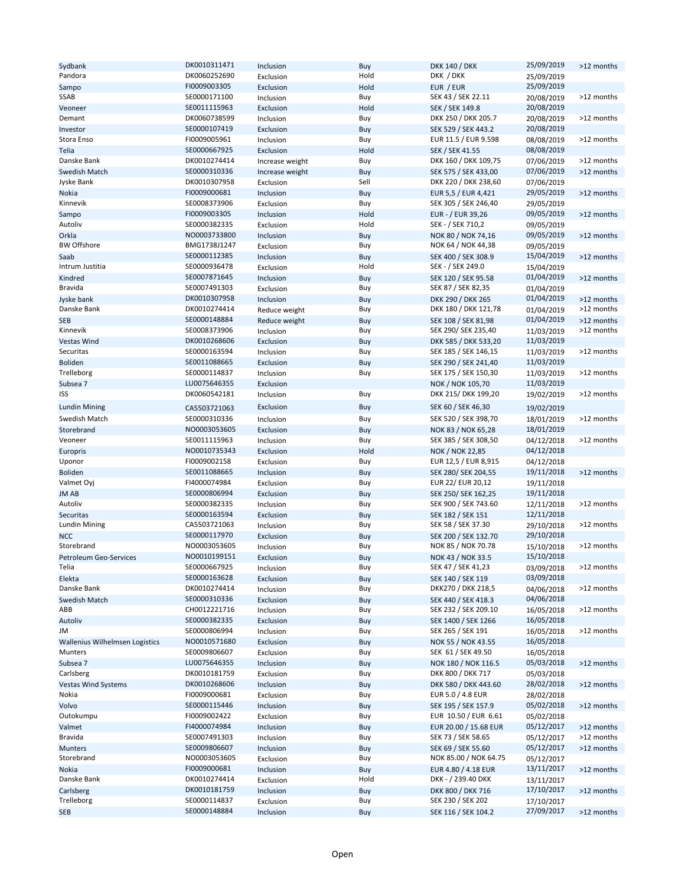| Sydbank                               | DK0010311471 | Inclusion       | Buy  | <b>DKK 140 / DKK</b>   | 25/09/2019 | >12 months |
|---------------------------------------|--------------|-----------------|------|------------------------|------------|------------|
|                                       |              |                 |      |                        |            |            |
| Pandora                               | DK0060252690 | Exclusion       | Hold | DKK / DKK              | 25/09/2019 |            |
| Sampo                                 | FI0009003305 | Exclusion       | Hold | EUR / EUR              | 25/09/2019 |            |
|                                       |              |                 |      | SEK 43 / SEK 22.11     |            | >12 months |
| SSAB                                  | SE0000171100 | Inclusion       | Buy  |                        | 20/08/2019 |            |
| Veoneer                               | SE0011115963 | Exclusion       | Hold | SEK / SEK 149.8        | 20/08/2019 |            |
| Demant                                | DK0060738599 | Inclusion       | Buy  | DKK 250 / DKK 205.7    | 20/08/2019 | >12 months |
|                                       |              |                 |      |                        |            |            |
| Investor                              | SE0000107419 | Exclusion       | Buy  | SEK 529 / SEK 443.2    | 20/08/2019 |            |
| Stora Enso                            | FI0009005961 | Inclusion       | Buy  | EUR 11.5 / EUR 9.598   | 08/08/2019 | >12 months |
|                                       |              |                 |      |                        |            |            |
| Telia                                 | SE0000667925 | Exclusion       | Hold | <b>SEK / SEK 41.55</b> | 08/08/2019 |            |
| Danske Bank                           | DK0010274414 | Increase weight | Buy  | DKK 160 / DKK 109,75   | 07/06/2019 | >12 months |
|                                       |              |                 |      |                        |            |            |
| Swedish Match                         | SE0000310336 | Increase weight | Buy  | SEK 575 / SEK 433,00   | 07/06/2019 | >12 months |
| Jyske Bank                            | DK0010307958 | Exclusion       | Sell | DKK 220 / DKK 238,60   | 07/06/2019 |            |
|                                       |              |                 |      |                        |            |            |
| Nokia                                 | FI0009000681 | Inclusion       | Buy  | EUR 5,5 / EUR 4,421    | 29/05/2019 | >12 months |
| Kinnevik                              | SE0008373906 | Exclusion       | Buy  | SEK 305 / SEK 246,40   | 29/05/2019 |            |
|                                       |              |                 |      |                        |            |            |
| Sampo                                 | FI0009003305 | Inclusion       | Hold | EUR - / EUR 39,26      | 09/05/2019 | >12 months |
| Autoliv                               | SE0000382335 | Exclusion       | Hold | SEK - / SEK 710,2      | 09/05/2019 |            |
|                                       | NO0003733800 |                 |      |                        | 09/05/2019 |            |
| Orkla                                 |              | Inclusion       | Buy  | NOK 80 / NOK 74,16     |            | >12 months |
| <b>BW Offshore</b>                    | BMG1738J1247 | Exclusion       | Buy  | NOK 64 / NOK 44,38     | 09/05/2019 |            |
|                                       | SE0000112385 |                 |      |                        | 15/04/2019 |            |
| Saab                                  |              | Inclusion       | Buy  | SEK 400 / SEK 308.9    |            | >12 months |
| Intrum Justitia                       | SE0000936478 | Exclusion       | Hold | SEK - / SEK 249.0      | 15/04/2019 |            |
| Kindred                               | SE0007871645 | Inclusion       | Buy  | SEK 120 / SEK 95.58    | 01/04/2019 | >12 months |
|                                       |              |                 |      |                        |            |            |
| Bravida                               | SE0007491303 | Exclusion       | Buy  | SEK 87 / SEK 82,35     | 01/04/2019 |            |
| Jyske bank                            | DK0010307958 | Inclusion       | Buy  | DKK 290 / DKK 265      | 01/04/2019 | >12 months |
|                                       |              |                 |      |                        |            |            |
| Danske Bank                           | DK0010274414 | Reduce weight   | Buy  | DKK 180 / DKK 121,78   | 01/04/2019 | >12 months |
| <b>SEB</b>                            | SE0000148884 | Reduce weight   | Buy  | SEK 108 / SEK 81,98    | 01/04/2019 | >12 months |
|                                       |              |                 |      |                        |            |            |
| Kinnevik                              | SE0008373906 | Inclusion       | Buy  | SEK 290/ SEK 235,40    | 11/03/2019 | >12 months |
| Vestas Wind                           | DK0010268606 | Exclusion       | Buy  | DKK 585 / DKK 533,20   | 11/03/2019 |            |
|                                       |              |                 |      |                        |            |            |
| Securitas                             | SE0000163594 | Inclusion       | Buy  | SEK 185 / SEK 146,15   | 11/03/2019 | >12 months |
| <b>Boliden</b>                        | SE0011088665 | Exclusion       | Buy  | SEK 290 / SEK 241,40   | 11/03/2019 |            |
|                                       |              |                 |      |                        |            |            |
| Trelleborg                            | SE0000114837 | Inclusion       | Buy  | SEK 175 / SEK 150,30   | 11/03/2019 | >12 months |
| Subsea 7                              | LU0075646355 | Exclusion       |      | NOK / NOK 105,70       | 11/03/2019 |            |
| ISS                                   | DK0060542181 |                 |      | DKK 215/ DKK 199,20    |            | >12 months |
|                                       |              | Inclusion       | Buy  |                        | 19/02/2019 |            |
| <b>Lundin Mining</b>                  | CA5503721063 | Exclusion       | Buy  | SEK 60 / SEK 46,30     | 19/02/2019 |            |
|                                       |              |                 |      |                        |            |            |
| Swedish Match                         | SE0000310336 | Inclusion       | Buy  | SEK 520 / SEK 398,70   | 18/01/2019 | >12 months |
|                                       | NO0003053605 |                 |      |                        |            |            |
| Storebrand                            |              | Exclusion       | Buy  | NOK 83 / NOK 65,28     | 18/01/2019 |            |
| Veoneer                               | SE0011115963 | Inclusion       | Buy  | SEK 385 / SEK 308,50   | 04/12/2018 | >12 months |
|                                       | NO0010735343 |                 | Hold |                        | 04/12/2018 |            |
| Europris                              |              | Exclusion       |      | <b>NOK / NOK 22,85</b> |            |            |
| Uponor                                | FI0009002158 | Exclusion       | Buy  | EUR 12,5 / EUR 8,915   | 04/12/2018 |            |
|                                       | SE0011088665 |                 |      |                        | 19/11/2018 |            |
| <b>Boliden</b>                        |              | Inclusion       | Buy  | SEK 280/ SEK 204,55    |            | >12 months |
| Valmet Oyj                            | FI4000074984 | Exclusion       | Buy  | EUR 22/ EUR 20,12      | 19/11/2018 |            |
|                                       | SE0000806994 | Exclusion       |      |                        | 19/11/2018 |            |
| <b>JMAB</b>                           |              |                 | Buy  | SEK 250/ SEK 162,25    |            |            |
| Autoliv                               | SE0000382335 | Inclusion       | Buy  | SEK 900 / SEK 743.60   | 12/11/2018 | >12 months |
| <b>Securitas</b>                      | SE0000163594 |                 |      | SEK 182 / SEK 151      | 12/11/2018 |            |
|                                       |              | Exclusion       | Buy  |                        |            |            |
| Lundin Mining                         | CA5503721063 | Inclusion       | Buy  | SEK 58 / SEK 37.30     | 29/10/2018 | >12 months |
| <b>NCC</b>                            | SE0000117970 | Exclusion       |      | SEK 200 / SEK 132.70   | 29/10/2018 |            |
|                                       |              |                 | Buy  |                        |            |            |
| Storebrand                            | NO0003053605 | Inclusion       | Buy  | NOK 85 / NOK 70.78     | 15/10/2018 | >12 months |
| <b>Petroleum Geo-Services</b>         | NO0010199151 | Exclusion       |      | NOK 43 / NOK 33.5      | 15/10/2018 |            |
|                                       |              |                 | Buy  |                        |            |            |
| Telia                                 | SE0000667925 | Inclusion       | Buy  | SEK 47 / SEK 41,23     | 03/09/2018 | >12 months |
| Elekta                                | SE0000163628 | Exclusion       | Buy  | SEK 140 / SEK 119      | 03/09/2018 |            |
|                                       |              |                 |      |                        |            |            |
| Danske Bank                           | DK0010274414 | Inclusion       | Buy  | DKK270 / DKK 218,5     | 04/06/2018 | >12 months |
| Swedish Match                         | SE0000310336 | Exclusion       | Buy  | SEK 440 / SEK 418.3    | 04/06/2018 |            |
|                                       |              |                 |      |                        |            |            |
| ABB                                   | CH0012221716 | Inclusion       | Buy  | SEK 232 / SEK 209.10   | 16/05/2018 | >12 months |
| Autoliv                               | SE0000382335 | Exclusion       | Buy  | SEK 1400 / SEK 1266    | 16/05/2018 |            |
|                                       |              |                 |      |                        |            | >12 months |
| JM                                    | SE0000806994 | Inclusion       | Buy  | SEK 265 / SEK 191      | 16/05/2018 |            |
| <b>Wallenius Wilhelmsen Logistics</b> | NO0010571680 | Exclusion       | Buy  | NOK 55 / NOK 43.55     | 16/05/2018 |            |
| Munters                               | SE0009806607 |                 |      | SEK 61 / SEK 49.50     |            |            |
|                                       |              | Exclusion       | Buy  |                        | 16/05/2018 |            |
| Subsea 7                              | LU0075646355 | Inclusion       | Buy  | NOK 180 / NOK 116.5    | 05/03/2018 | >12 months |
| Carlsberg                             | DK0010181759 | Exclusion       | Buy  | DKK 800 / DKK 717      | 05/03/2018 |            |
|                                       |              |                 |      |                        |            |            |
| <b>Vestas Wind Systems</b>            | DK0010268606 | Inclusion       | Buy  | DKK 580 / DKK 443.60   | 28/02/2018 | >12 months |
| Nokia                                 | FI0009000681 | Exclusion       | Buy  | EUR 5.0 / 4.8 EUR      | 28/02/2018 |            |
|                                       |              |                 |      |                        |            |            |
| Volvo                                 | SE0000115446 | Inclusion       | Buy  | SEK 195 / SEK 157.9    | 05/02/2018 | >12 months |
| Outokumpu                             | FI0009002422 | Exclusion       | Buy  | EUR 10.50 / EUR 6.61   | 05/02/2018 |            |
|                                       |              |                 |      |                        |            |            |
| Valmet                                | FI4000074984 | Inclusion       | Buy  | EUR 20.00 / 15.68 EUR  | 05/12/2017 | >12 months |
| <b>Bravida</b>                        | SE0007491303 | Inclusion       | Buy  | SEK 73 / SEK 58.65     | 05/12/2017 | >12 months |
|                                       |              |                 |      |                        |            |            |
| <b>Munters</b>                        | SE0009806607 | Inclusion       | Buy  | SEK 69 / SEK 55.60     | 05/12/2017 | >12 months |
| Storebrand                            | NO0003053605 | Exclusion       | Buy  | NOK 85.00 / NOK 64.75  | 05/12/2017 |            |
|                                       |              |                 |      |                        |            |            |
| Nokia                                 |              | Inclusion       | Buy  | EUR 4.80 / 4.18 EUR    | 13/11/2017 | >12 months |
| Danske Bank                           | FI0009000681 |                 |      |                        |            |            |
|                                       | DK0010274414 |                 | Hold | DKK - / 239.40 DKK     |            |            |
|                                       |              | Exclusion       |      |                        | 13/11/2017 |            |
| Carlsberg                             | DK0010181759 | Inclusion       | Buy  | DKK 800 / DKK 716      | 17/10/2017 | >12 months |
| Trelleborg                            | SE0000114837 | Exclusion       | Buy  | SEK 230 / SEK 202      | 17/10/2017 |            |
| SEB                                   | SE0000148884 | Inclusion       | Buy  | SEK 116 / SEK 104.2    | 27/09/2017 | >12 months |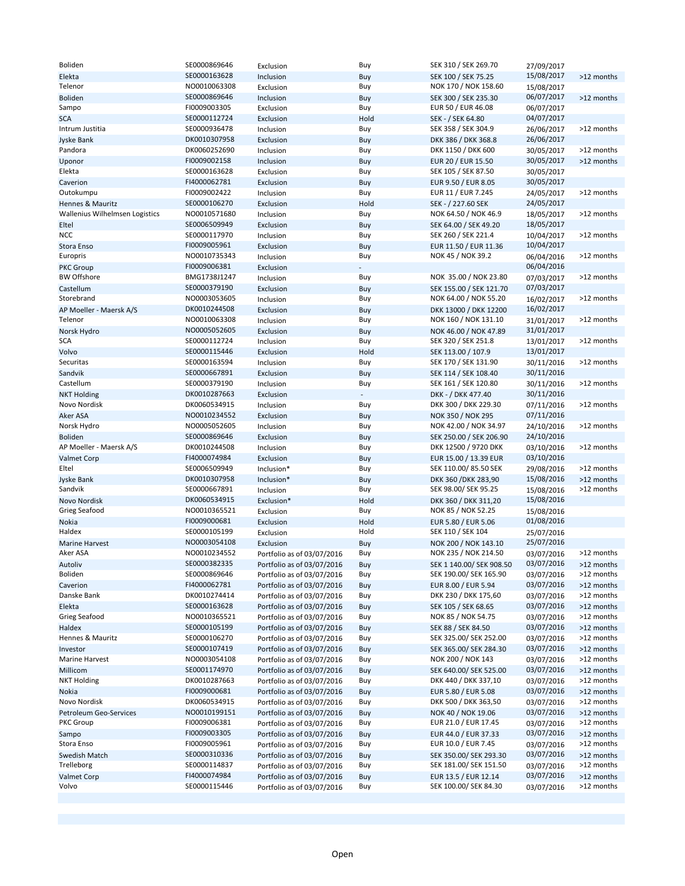| Boliden                        | SE0000869646 | Exclusion                  | Buy  | SEK 310 / SEK 269.70                       | 27/09/2017               |            |
|--------------------------------|--------------|----------------------------|------|--------------------------------------------|--------------------------|------------|
| Elekta                         | SE0000163628 | Inclusion                  | Buy  | SEK 100 / SEK 75.25                        | 15/08/2017               | >12 months |
| Telenor                        | NO0010063308 | Exclusion                  | Buy  | NOK 170 / NOK 158.60                       | 15/08/2017               |            |
| <b>Boliden</b>                 | SE0000869646 | Inclusion                  | Buy  | SEK 300 / SEK 235.30                       | 06/07/2017               | >12 months |
| Sampo                          | FI0009003305 | Exclusion                  | Buy  | EUR 50 / EUR 46.08                         | 06/07/2017               |            |
| <b>SCA</b>                     | SE0000112724 | Exclusion                  | Hold | SEK - / SEK 64.80                          | 04/07/2017               |            |
| Intrum Justitia                | SE0000936478 | Inclusion                  | Buy  | SEK 358 / SEK 304.9                        | 26/06/2017               | >12 months |
| <b>Jyske Bank</b>              | DK0010307958 | Exclusion                  | Buy  | DKK 386 / DKK 368.8                        | 26/06/2017               |            |
| Pandora                        | DK0060252690 | Inclusion                  | Buy  | DKK 1150 / DKK 600                         | 30/05/2017               | >12 months |
| Uponor                         | FI0009002158 | Inclusion                  | Buy  | EUR 20 / EUR 15.50                         | 30/05/2017               | >12 months |
| Elekta                         | SE0000163628 | Exclusion                  | Buy  | SEK 105 / SEK 87.50                        | 30/05/2017               |            |
| Caverion                       | FI4000062781 | Exclusion                  | Buy  | EUR 9.50 / EUR 8.05                        | 30/05/2017               |            |
| Outokumpu                      | FI0009002422 | Inclusion                  | Buy  | EUR 11 / EUR 7.245                         | 24/05/2017               | >12 months |
| Hennes & Mauritz               | SE0000106270 | Exclusion                  | Hold | SEK - / 227.60 SEK                         | 24/05/2017               |            |
| Wallenius Wilhelmsen Logistics | NO0010571680 | Inclusion                  | Buy  | NOK 64.50 / NOK 46.9                       | 18/05/2017               | >12 months |
| Eltel                          | SE0006509949 | Exclusion                  | Buy  | SEK 64.00 / SEK 49.20                      | 18/05/2017               |            |
| NCC                            | SE0000117970 | Inclusion                  | Buy  | SEK 260 / SEK 221.4                        | 10/04/2017               | >12 months |
| Stora Enso                     | FI0009005961 | Exclusion                  | Buy  | EUR 11.50 / EUR 11.36                      | 10/04/2017               |            |
| Europris                       | NO0010735343 | Inclusion                  | Buy  | NOK 45 / NOK 39.2                          | 06/04/2016               | >12 months |
| <b>PKC Group</b>               | FI0009006381 | Exclusion                  |      |                                            | 06/04/2016               |            |
| <b>BW Offshore</b>             | BMG1738J1247 | Inclusion                  | Buy  | NOK 35.00 / NOK 23.80                      | 07/03/2017               | >12 months |
| Castellum                      | SE0000379190 | Exclusion                  | Buy  | SEK 155.00 / SEK 121.70                    | 07/03/2017               |            |
| Storebrand                     | NO0003053605 | Inclusion                  | Buy  | NOK 64.00 / NOK 55.20                      | 16/02/2017               | >12 months |
| AP Moeller - Maersk A/S        | DK0010244508 | Exclusion                  | Buy  | DKK 13000 / DKK 12200                      | 16/02/2017               |            |
| Telenor                        | NO0010063308 | Inclusion                  | Buy  | NOK 160 / NOK 131.10                       | 31/01/2017               | >12 months |
|                                | NO0005052605 |                            |      | NOK 46.00 / NOK 47.89                      | 31/01/2017               |            |
| Norsk Hydro<br>SCA             | SE0000112724 | Exclusion                  | Buy  | SEK 320 / SEK 251.8                        |                          | >12 months |
|                                | SE0000115446 | Inclusion                  | Buy  |                                            | 13/01/2017<br>13/01/2017 |            |
| Volvo<br>Securitas             |              | Exclusion                  | Hold | SEK 113.00 / 107.9<br>SEK 170 / SEK 131.90 |                          | >12 months |
|                                | SE0000163594 | Inclusion                  | Buy  |                                            | 30/11/2016               |            |
| Sandvik                        | SE0000667891 | Exclusion                  | Buy  | SEK 114 / SEK 108.40                       | 30/11/2016               |            |
| Castellum                      | SE0000379190 | Inclusion                  | Buy  | SEK 161 / SEK 120.80                       | 30/11/2016               | >12 months |
| <b>NKT Holding</b>             | DK0010287663 | Exclusion                  |      | DKK - / DKK 477.40                         | 30/11/2016               |            |
| Novo Nordisk                   | DK0060534915 | Inclusion                  | Buy  | DKK 300 / DKK 229.30                       | 07/11/2016               | >12 months |
| Aker ASA                       | NO0010234552 | Exclusion                  | Buy  | NOK 350 / NOK 295                          | 07/11/2016               |            |
| Norsk Hydro                    | NO0005052605 | Inclusion                  | Buy  | NOK 42.00 / NOK 34.97                      | 24/10/2016               | >12 months |
| <b>Boliden</b>                 | SE0000869646 | Exclusion                  | Buy  | SEK 250.00 / SEK 206.90                    | 24/10/2016               |            |
| AP Moeller - Maersk A/S        | DK0010244508 | Inclusion                  | Buy  | DKK 12500 / 9720 DKK                       | 03/10/2016               | >12 months |
| <b>Valmet Corp</b>             | FI4000074984 | Exclusion                  | Buy  | EUR 15.00 / 13.39 EUR                      | 03/10/2016               |            |
| Eltel                          | SE0006509949 | Inclusion*                 | Buy  | SEK 110.00/85.50 SEK                       | 29/08/2016               | >12 months |
| Jyske Bank                     | DK0010307958 | Inclusion*                 | Buy  | DKK 360 / DKK 283,90                       | 15/08/2016               | >12 months |
| Sandvik                        | SE0000667891 | Inclusion                  | Buy  | SEK 98.00/ SEK 95.25                       | 15/08/2016               | >12 months |
| Novo Nordisk                   | DK0060534915 | Exclusion*                 | Hold | DKK 360 / DKK 311,20                       | 15/08/2016               |            |
| Grieg Seafood                  | NO0010365521 | Exclusion                  | Buy  | NOK 85 / NOK 52.25                         | 15/08/2016               |            |
| Nokia                          | FI0009000681 | Exclusion                  | Hold | EUR 5.80 / EUR 5.06                        | 01/08/2016               |            |
| Haldex                         | SE0000105199 | Exclusion                  | Hold | SEK 110 / SEK 104                          | 25/07/2016               |            |
| <b>Marine Harvest</b>          | NO0003054108 | Exclusion                  | Buy  | NOK 200 / NOK 143.10                       | 25/07/2016               |            |
| Aker ASA                       | NO0010234552 | Portfolio as of 03/07/2016 | Buy  | NOK 235 / NOK 214.50                       | 03/07/2016               | >12 months |
| Autoliv                        | SE0000382335 | Portfolio as of 03/07/2016 | Buy  | SEK 1 140.00/ SEK 908.50                   | 03/07/2016               | >12 months |
| Boliden                        | SE0000869646 | Portfolio as of 03/07/2016 | Buy  | SEK 190.00/ SEK 165.90                     | 03/07/2016               | >12 months |
| Caverion                       | FI4000062781 | Portfolio as of 03/07/2016 | Buy  | EUR 8.00 / EUR 5.94                        | 03/07/2016               | >12 months |
| Danske Bank                    | DK0010274414 | Portfolio as of 03/07/2016 | Buy  | DKK 230 / DKK 175,60                       | 03/07/2016               | >12 months |
| Elekta                         | SE0000163628 | Portfolio as of 03/07/2016 | Buy  | SEK 105 / SEK 68.65                        | 03/07/2016               | >12 months |
| Grieg Seafood                  | NO0010365521 | Portfolio as of 03/07/2016 | Buy  | NOK 85 / NOK 54.75                         | 03/07/2016               | >12 months |
| Haldex                         | SE0000105199 | Portfolio as of 03/07/2016 | Buy  | SEK 88 / SEK 84.50                         | 03/07/2016               | >12 months |
| Hennes & Mauritz               | SE0000106270 | Portfolio as of 03/07/2016 | Buy  | SEK 325.00/ SEK 252.00                     | 03/07/2016               | >12 months |
| Investor                       | SE0000107419 | Portfolio as of 03/07/2016 | Buy  | SEK 365.00/ SEK 284.30                     | 03/07/2016               | >12 months |
| Marine Harvest                 | NO0003054108 | Portfolio as of 03/07/2016 | Buy  | NOK 200 / NOK 143                          | 03/07/2016               | >12 months |
| Millicom                       | SE0001174970 | Portfolio as of 03/07/2016 | Buy  | SEK 640.00/ SEK 525.00                     | 03/07/2016               | >12 months |
| <b>NKT Holding</b>             | DK0010287663 | Portfolio as of 03/07/2016 | Buy  | DKK 440 / DKK 337,10                       | 03/07/2016               | >12 months |
| Nokia                          | FI0009000681 | Portfolio as of 03/07/2016 | Buy  | EUR 5.80 / EUR 5.08                        | 03/07/2016               | >12 months |
| Novo Nordisk                   | DK0060534915 | Portfolio as of 03/07/2016 | Buy  | DKK 500 / DKK 363,50                       | 03/07/2016               | >12 months |
| <b>Petroleum Geo-Services</b>  | NO0010199151 | Portfolio as of 03/07/2016 | Buy  | NOK 40 / NOK 19.06                         | 03/07/2016               | >12 months |
| PKC Group                      | FI0009006381 | Portfolio as of 03/07/2016 | Buy  | EUR 21.0 / EUR 17.45                       | 03/07/2016               | >12 months |
| Sampo                          | FI0009003305 | Portfolio as of 03/07/2016 | Buy  | EUR 44.0 / EUR 37.33                       | 03/07/2016               | >12 months |
| Stora Enso                     | FI0009005961 | Portfolio as of 03/07/2016 | Buy  | EUR 10.0 / EUR 7.45                        | 03/07/2016               | >12 months |
| Swedish Match                  | SE0000310336 | Portfolio as of 03/07/2016 | Buy  | SEK 350.00/ SEK 293.30                     | 03/07/2016               | >12 months |
| Trelleborg                     | SE0000114837 | Portfolio as of 03/07/2016 | Buy  | SEK 181.00/ SEK 151.50                     | 03/07/2016               | >12 months |
| <b>Valmet Corp</b>             | FI4000074984 | Portfolio as of 03/07/2016 | Buy  | EUR 13.5 / EUR 12.14                       | 03/07/2016               | >12 months |
| Volvo                          | SE0000115446 | Portfolio as of 03/07/2016 | Buy  | SEK 100.00/ SEK 84.30                      | 03/07/2016               | >12 months |
|                                |              |                            |      |                                            |                          |            |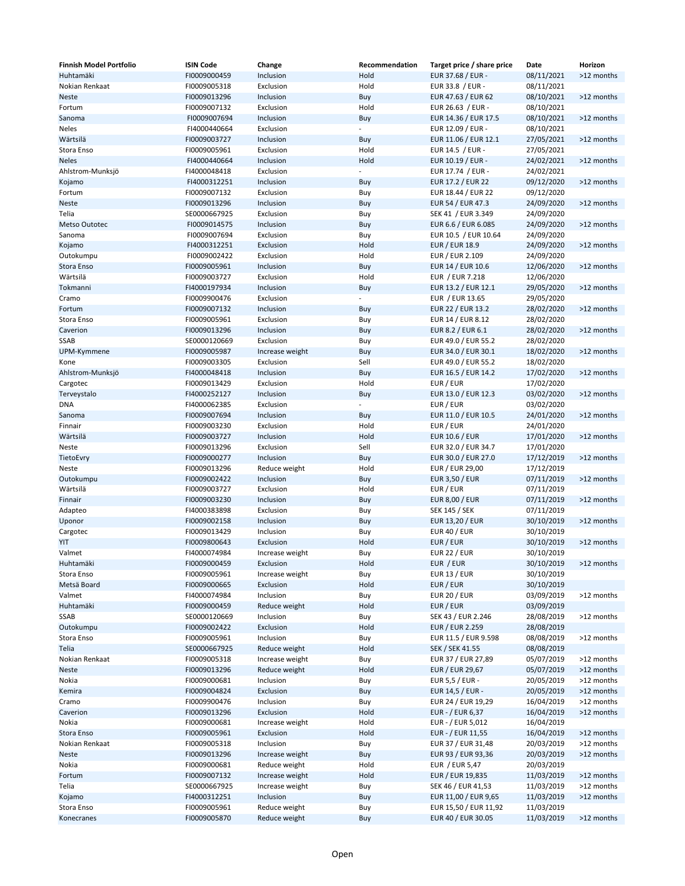| <b>Finnish Model Portfolio</b> | <b>ISIN Code</b> | Change          | Recommendation           | Target price / share price | Date       | Horizon    |
|--------------------------------|------------------|-----------------|--------------------------|----------------------------|------------|------------|
| Huhtamäki                      | FI0009000459     | Inclusion       | Hold                     | EUR 37.68 / EUR -          | 08/11/2021 | >12 months |
| Nokian Renkaat                 | FI0009005318     | Exclusion       | Hold                     | EUR 33.8 / EUR -           | 08/11/2021 |            |
| Neste                          | FI0009013296     | Inclusion       | Buy                      | EUR 47.63 / EUR 62         | 08/10/2021 | >12 months |
| Fortum                         | FI0009007132     | Exclusion       | Hold                     | EUR 26.63 / EUR -          | 08/10/2021 |            |
| Sanoma                         | FI0009007694     | Inclusion       | Buy                      | EUR 14.36 / EUR 17.5       | 08/10/2021 | >12 months |
| Neles                          | FI4000440664     | Exclusion       | $\overline{\phantom{a}}$ | EUR 12.09 / EUR -          | 08/10/2021 |            |
| Wärtsilä                       | FI0009003727     | Inclusion       | Buy                      | EUR 11.06 / EUR 12.1       | 27/05/2021 | >12 months |
| Stora Enso                     | FI0009005961     | Exclusion       | Hold                     | EUR 14.5 / EUR -           | 27/05/2021 |            |
|                                |                  |                 |                          |                            |            |            |
| <b>Neles</b>                   | FI4000440664     | Inclusion       | Hold                     | EUR 10.19 / EUR -          | 24/02/2021 | >12 months |
| Ahlstrom-Munksjö               | FI4000048418     | Exclusion       | $\overline{\phantom{a}}$ | EUR 17.74 / EUR -          | 24/02/2021 |            |
| Kojamo                         | FI4000312251     | Inclusion       | Buy                      | EUR 17.2 / EUR 22          | 09/12/2020 | >12 months |
| Fortum                         | FI0009007132     | Exclusion       | Buy                      | EUR 18.44 / EUR 22         | 09/12/2020 |            |
| <b>Neste</b>                   | FI0009013296     | Inclusion       | Buy                      | EUR 54 / EUR 47.3          | 24/09/2020 | >12 months |
| Telia                          | SE0000667925     | Exclusion       | Buy                      | SEK 41 / EUR 3.349         | 24/09/2020 |            |
| Metso Outotec                  | FI0009014575     | Inclusion       | Buy                      | EUR 6.6 / EUR 6.085        | 24/09/2020 | >12 months |
| Sanoma                         | FI0009007694     | Exclusion       | Buy                      | EUR 10.5 / EUR 10.64       | 24/09/2020 |            |
| Kojamo                         | FI4000312251     | Exclusion       | Hold                     | <b>EUR / EUR 18.9</b>      | 24/09/2020 | >12 months |
| Outokumpu                      | FI0009002422     | Exclusion       | Hold                     | EUR / EUR 2.109            | 24/09/2020 |            |
| Stora Enso                     | FI0009005961     | Inclusion       | Buy                      | EUR 14 / EUR 10.6          | 12/06/2020 | >12 months |
| Wärtsilä                       | FI0009003727     | Exclusion       | Hold                     | EUR / EUR 7.218            | 12/06/2020 |            |
| Tokmanni                       | FI4000197934     | Inclusion       | Buy                      | EUR 13.2 / EUR 12.1        | 29/05/2020 | >12 months |
| Cramo                          | FI0009900476     | Exclusion       | $\overline{\phantom{a}}$ | EUR / EUR 13.65            | 29/05/2020 |            |
| Fortum                         | FI0009007132     | Inclusion       |                          | EUR 22 / EUR 13.2          | 28/02/2020 | >12 months |
|                                | FI0009005961     |                 | Buy                      |                            |            |            |
| Stora Enso                     |                  | Exclusion       | Buy                      | EUR 14 / EUR 8.12          | 28/02/2020 |            |
| Caverion                       | FI0009013296     | Inclusion       | Buy                      | EUR 8.2 / EUR 6.1          | 28/02/2020 | >12 months |
| SSAB                           | SE0000120669     | Exclusion       | Buy                      | EUR 49.0 / EUR 55.2        | 28/02/2020 |            |
| UPM-Kymmene                    | FI0009005987     | Increase weight | Buy                      | EUR 34.0 / EUR 30.1        | 18/02/2020 | >12 months |
| Kone                           | FI0009003305     | Exclusion       | Sell                     | EUR 49.0 / EUR 55.2        | 18/02/2020 |            |
| Ahlstrom-Munksjö               | FI4000048418     | Inclusion       | Buy                      | EUR 16.5 / EUR 14.2        | 17/02/2020 | >12 months |
| Cargotec                       | FI0009013429     | Exclusion       | Hold                     | EUR / EUR                  | 17/02/2020 |            |
| Terveystalo                    | FI4000252127     | Inclusion       | Buy                      | EUR 13.0 / EUR 12.3        | 03/02/2020 | >12 months |
| DNA                            | FI4000062385     | Exclusion       | $\overline{\phantom{a}}$ | EUR / EUR                  | 03/02/2020 |            |
| Sanoma                         | FI0009007694     | Inclusion       | Buy                      | EUR 11.0 / EUR 10.5        | 24/01/2020 | >12 months |
| Finnair                        | FI0009003230     | Exclusion       | Hold                     | EUR / EUR                  | 24/01/2020 |            |
| Wärtsilä                       | FI0009003727     | Inclusion       | Hold                     | <b>EUR 10.6 / EUR</b>      | 17/01/2020 | >12 months |
| Neste                          | FI0009013296     | Exclusion       | Sell                     | EUR 32.0 / EUR 34.7        | 17/01/2020 |            |
| TietoEvry                      | FI0009000277     | Inclusion       | Buy                      | EUR 30.0 / EUR 27.0        | 17/12/2019 | >12 months |
|                                | FI0009013296     | Reduce weight   | Hold                     | EUR / EUR 29,00            |            |            |
| Neste                          |                  |                 |                          |                            | 17/12/2019 |            |
| Outokumpu                      | FI0009002422     | Inclusion       | Buy                      | <b>EUR 3,50 / EUR</b>      | 07/11/2019 | >12 months |
| Wärtsilä                       | FI0009003727     | Exclusion       | Hold                     | EUR / EUR                  | 07/11/2019 |            |
| Finnair                        | FI0009003230     | Inclusion       | Buy                      | <b>EUR 8,00 / EUR</b>      | 07/11/2019 | >12 months |
| Adapteo                        | FI4000383898     | Exclusion       | Buy                      | <b>SEK 145 / SEK</b>       | 07/11/2019 |            |
| Uponor                         | FI0009002158     | Inclusion       | Buy                      | EUR 13,20 / EUR            | 30/10/2019 | >12 months |
| Cargotec                       | FI0009013429     | Inclusion       | Buy                      | <b>EUR 40 / EUR</b>        | 30/10/2019 |            |
| YIT                            | FI0009800643     | Exclusion       | Hold                     | EUR / EUR                  | 30/10/2019 | >12 months |
| Valmet                         | FI4000074984     | Increase weight | Buy                      | <b>EUR 22 / EUR</b>        | 30/10/2019 |            |
| Huhtamäki                      | FI0009000459     | Exclusion       | Hold                     | EUR / EUR                  | 30/10/2019 | >12 months |
| Stora Enso                     | FI0009005961     | Increase weight | Buy                      | <b>EUR 13 / EUR</b>        | 30/10/2019 |            |
| Metsä Board                    | FI0009000665     | Exclusion       | Hold                     | EUR / EUR                  | 30/10/2019 |            |
| Valmet                         | FI4000074984     | Inclusion       | Buy                      | <b>EUR 20 / EUR</b>        | 03/09/2019 | >12 months |
| Huhtamäki                      | FI0009000459     | Reduce weight   | Hold                     | EUR / EUR                  | 03/09/2019 |            |
| SSAB                           | SE0000120669     | Inclusion       | Buy                      | SEK 43 / EUR 2.246         | 28/08/2019 | >12 months |
| Outokumpu                      | FI0009002422     | Exclusion       | Hold                     | <b>EUR / EUR 2.259</b>     | 28/08/2019 |            |
| Stora Enso                     | FI0009005961     | Inclusion       | Buy                      | EUR 11.5 / EUR 9.598       | 08/08/2019 | >12 months |
| Telia                          | SE0000667925     | Reduce weight   | Hold                     | SEK / SEK 41.55            | 08/08/2019 |            |
| Nokian Renkaat                 |                  | Increase weight |                          |                            |            |            |
|                                | FI0009005318     |                 | Buy                      | EUR 37 / EUR 27,89         | 05/07/2019 | >12 months |
| Neste                          | FI0009013296     | Reduce weight   | Hold                     | <b>EUR / EUR 29,67</b>     | 05/07/2019 | >12 months |
| Nokia                          | FI0009000681     | Inclusion       | Buy                      | EUR 5,5 / EUR -            | 20/05/2019 | >12 months |
| Kemira                         | FI0009004824     | Exclusion       | Buy                      | EUR 14,5 / EUR -           | 20/05/2019 | >12 months |
| Cramo                          | FI0009900476     | Inclusion       | Buy                      | EUR 24 / EUR 19,29         | 16/04/2019 | >12 months |
| Caverion                       | FI0009013296     | Exclusion       | Hold                     | EUR - / EUR 6,37           | 16/04/2019 | >12 months |
| Nokia                          | FI0009000681     | Increase weight | Hold                     | EUR - / EUR 5,012          | 16/04/2019 |            |
| Stora Enso                     | FI0009005961     | Exclusion       | Hold                     | EUR - / EUR 11,55          | 16/04/2019 | >12 months |
| Nokian Renkaat                 | FI0009005318     | Inclusion       | Buy                      | EUR 37 / EUR 31,48         | 20/03/2019 | >12 months |
| <b>Neste</b>                   | FI0009013296     | Increase weight | Buy                      | EUR 93 / EUR 93,36         | 20/03/2019 | >12 months |
| Nokia                          | FI0009000681     | Reduce weight   | Hold                     | EUR / EUR 5,47             | 20/03/2019 |            |
| Fortum                         | FI0009007132     | Increase weight | Hold                     | EUR / EUR 19,835           | 11/03/2019 | >12 months |
| Telia                          | SE0000667925     | Increase weight | Buy                      | SEK 46 / EUR 41,53         | 11/03/2019 | >12 months |
| Kojamo                         | FI4000312251     | Inclusion       | Buy                      | EUR 11,00 / EUR 9,65       | 11/03/2019 | >12 months |
| Stora Enso                     | FI0009005961     | Reduce weight   | Buy                      | EUR 15,50 / EUR 11,92      | 11/03/2019 |            |
| Konecranes                     | FI0009005870     | Reduce weight   | Buy                      | EUR 40 / EUR 30.05         | 11/03/2019 | >12 months |
|                                |                  |                 |                          |                            |            |            |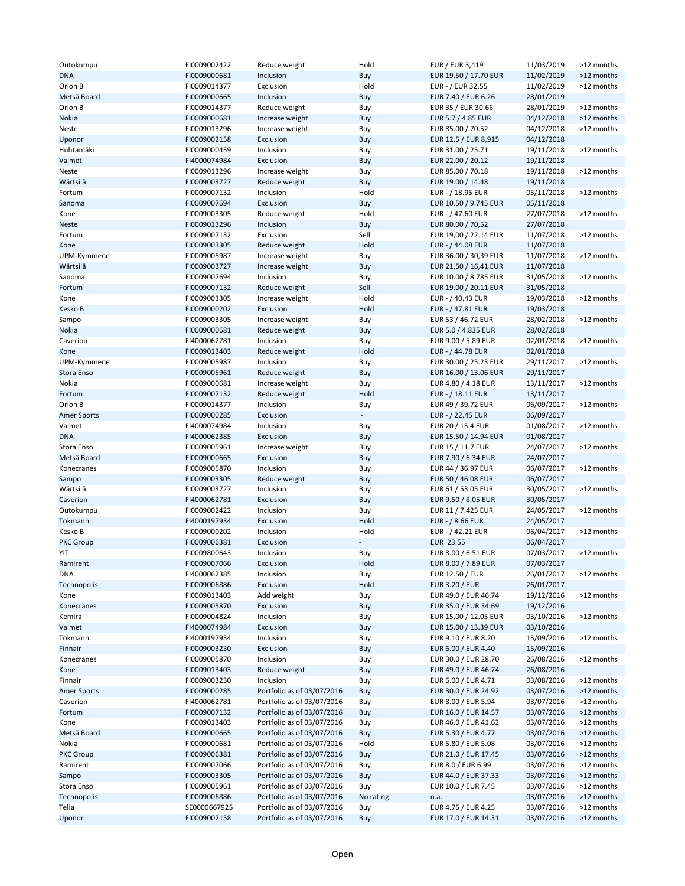| Outokumpu        | FI0009002422 | Reduce weight              | Hold      | EUR / EUR 3,419        | 11/03/2019 | >12 months |
|------------------|--------------|----------------------------|-----------|------------------------|------------|------------|
| <b>DNA</b>       | FI0009000681 | Inclusion                  | Buy       | EUR 19.50 / 17.70 EUR  | 11/02/2019 | >12 months |
|                  |              |                            |           |                        |            |            |
| Orion B          | FI0009014377 | Exclusion                  | Hold      | EUR - / EUR 32.55      | 11/02/2019 | >12 months |
| Metsä Board      | FI0009000665 | Inclusion                  | Buy       | EUR 7.40 / EUR 6.26    | 28/01/2019 |            |
| Orion B          | FI0009014377 | Reduce weight              | Buy       | EUR 35 / EUR 30.66     | 28/01/2019 | >12 months |
| Nokia            | FI0009000681 | Increase weight            | Buy       | EUR 5.7 / 4.85 EUR     | 04/12/2018 | >12 months |
| Neste            | FI0009013296 | Increase weight            | Buy       | EUR 85.00 / 70.52      | 04/12/2018 | >12 months |
| Uponor           | FI0009002158 | Exclusion                  | Buy       | EUR 12,5 / EUR 8,915   | 04/12/2018 |            |
|                  |              |                            |           |                        |            |            |
| Huhtamäki        | FI0009000459 | Inclusion                  | Buy       | EUR 31.00 / 25.71      | 19/11/2018 | >12 months |
| Valmet           | FI4000074984 | Exclusion                  | Buy       | EUR 22.00 / 20.12      | 19/11/2018 |            |
| Neste            | FI0009013296 | Increase weight            | Buy       | EUR 85.00 / 70.18      | 19/11/2018 | >12 months |
| Wärtsilä         | FI0009003727 | Reduce weight              | Buy       | EUR 19.00 / 14.48      | 19/11/2018 |            |
|                  |              |                            |           |                        |            |            |
| Fortum           | FI0009007132 | Inclusion                  | Hold      | EUR - / 18.95 EUR      | 05/11/2018 | >12 months |
| Sanoma           | FI0009007694 | Exclusion                  | Buy       | EUR 10.50 / 9.745 EUR  | 05/11/2018 |            |
| Kone             | FI0009003305 | Reduce weight              | Hold      | EUR - / 47.60 EUR      | 27/07/2018 | >12 months |
| <b>Neste</b>     | FI0009013296 | Inclusion                  | Buy       | EUR 80,00 / 70,52      | 27/07/2018 |            |
| Fortum           | FI0009007132 | Exclusion                  | Sell      | EUR 19,00 / 22.14 EUR  | 11/07/2018 | >12 months |
|                  |              |                            |           |                        |            |            |
| Kone             | FI0009003305 | Reduce weight              | Hold      | EUR - / 44.08 EUR      | 11/07/2018 |            |
| UPM-Kymmene      | FI0009005987 | Increase weight            | Buy       | EUR 36.00 / 30,39 EUR  | 11/07/2018 | >12 months |
| Wärtsilä         | FI0009003727 | Increase weight            | Buy       | EUR 21,50 / 16,41 EUR  | 11/07/2018 |            |
| Sanoma           | FI0009007694 | Inclusion                  | Buy       | EUR 10.00 / 8.785 EUR  | 31/05/2018 | >12 months |
| Fortum           | FI0009007132 | Reduce weight              | Sell      | EUR 19.00 / 20.11 EUR  | 31/05/2018 |            |
|                  |              |                            |           |                        |            |            |
| Kone             | FI0009003305 | Increase weight            | Hold      | EUR - / 40.43 EUR      | 19/03/2018 | >12 months |
| Kesko B          | FI0009000202 | Exclusion                  | Hold      | EUR - / 47.81 EUR      | 19/03/2018 |            |
| Sampo            | FI0009003305 | Increase weight            | Buy       | EUR 53 / 46.72 EUR     | 28/02/2018 | >12 months |
| Nokia            | FI0009000681 | Reduce weight              | Buy       | EUR 5.0 / 4.835 EUR    | 28/02/2018 |            |
|                  |              |                            |           |                        |            |            |
| Caverion         | FI4000062781 | Inclusion                  | Buy       | EUR 9.00 / 5.89 EUR    | 02/01/2018 | >12 months |
| Kone             | FI0009013403 | Reduce weight              | Hold      | EUR - / 44.78 EUR      | 02/01/2018 |            |
| UPM-Kymmene      | FI0009005987 | Inclusion                  | Buy       | EUR 30.00 / 25.23 EUR  | 29/11/2017 | >12 months |
| Stora Enso       | FI0009005961 | Reduce weight              | Buy       | EUR 16.00 / 13.06 EUR  | 29/11/2017 |            |
|                  |              | Increase weight            |           | EUR 4.80 / 4.18 EUR    |            |            |
| Nokia            | FI0009000681 |                            | Buy       |                        | 13/11/2017 | >12 months |
| Fortum           | FI0009007132 | Reduce weight              | Hold      | EUR - / 18.11 EUR      | 13/11/2017 |            |
| Orion B          | FI0009014377 | Inclusion                  | Buy       | EUR 49 / 39.72 EUR     | 06/09/2017 | >12 months |
| Amer Sports      | FI0009000285 | Exclusion                  |           | EUR - / 22.45 EUR      | 06/09/2017 |            |
| Valmet           | FI4000074984 | Inclusion                  | Buy       | EUR 20 / 15.4 EUR      | 01/08/2017 | >12 months |
|                  |              |                            |           |                        |            |            |
| <b>DNA</b>       | FI4000062385 | Exclusion                  | Buy       | EUR 15.50 / 14.94 EUR  | 01/08/2017 |            |
| Stora Enso       | FI0009005961 | Increase weight            | Buy       | EUR 15 / 11.7 EUR      | 24/07/2017 | >12 months |
| Metsä Board      | FI0009000665 | Exclusion                  | Buy       | EUR 7.90 / 6.34 EUR    | 24/07/2017 |            |
| Konecranes       | FI0009005870 | Inclusion                  | Buy       | EUR 44 / 36.97 EUR     | 06/07/2017 | >12 months |
|                  |              |                            |           |                        |            |            |
| Sampo            | FI0009003305 | Reduce weight              | Buy       | EUR 50 / 46.08 EUR     | 06/07/2017 |            |
| Wärtsilä         | FI0009003727 | Inclusion                  | Buy       | EUR 61 / 53.05 EUR     | 30/05/2017 | >12 months |
| Caverion         | FI4000062781 | Exclusion                  | Buy       | EUR 9.50 / 8.05 EUR    | 30/05/2017 |            |
| Outokumpu        | FI0009002422 | Inclusion                  | Buy       | EUR 11 / 7.425 EUR     | 24/05/2017 | >12 months |
| Tokmanni         | FI4000197934 | Exclusion                  | Hold      | EUR - / 8.66 EUR       | 24/05/2017 |            |
|                  |              |                            |           |                        |            |            |
| Kesko B          | FI0009000202 | Inclusion                  | Hold      | EUR - / 42.21 EUR      | 06/04/2017 | >12 months |
| PKC Group        | FI0009006381 | Exclusion                  |           | <b>EUR 23.55</b>       | 06/04/2017 |            |
| YIT              | FI0009800643 | Inclusion                  | Buy       | EUR 8.00 / 6.51 EUR    | 07/03/2017 | >12 months |
| Ramirent         | FI0009007066 | Exclusion                  | Hold      | EUR 8.00 / 7.89 EUR    | 07/03/2017 |            |
| DNA              | FI4000062385 | Inclusion                  | Buy       | <b>EUR 12.50 / EUR</b> | 26/01/2017 | >12 months |
|                  |              |                            |           |                        |            |            |
| Technopolis      | FI0009006886 | Exclusion                  | Hold      | <b>EUR 3.20 / EUR</b>  | 26/01/2017 |            |
| Kone             | FI0009013403 | Add weight                 | Buy       | EUR 49.0 / EUR 46.74   | 19/12/2016 | >12 months |
| Konecranes       | FI0009005870 | Exclusion                  | Buy       | EUR 35.0 / EUR 34.69   | 19/12/2016 |            |
| Kemira           | FI0009004824 | Inclusion                  | Buy       | EUR 15.00 / 12.05 EUR  | 03/10/2016 | >12 months |
| Valmet           | FI4000074984 | Exclusion                  | Buy       | EUR 15.00 / 13.39 EUR  | 03/10/2016 |            |
|                  |              |                            |           |                        |            |            |
| Tokmanni         | FI4000197934 | Inclusion                  | Buy       | EUR 9.10 / EUR 8.20    | 15/09/2016 | >12 months |
| Finnair          | FI0009003230 | Exclusion                  | Buy       | EUR 6.00 / EUR 4.40    | 15/09/2016 |            |
| Konecranes       | FI0009005870 | Inclusion                  | Buy       | EUR 30.0 / EUR 28.70   | 26/08/2016 | >12 months |
| Kone             | FI0009013403 | Reduce weight              | Buy       | EUR 49.0 / EUR 46.74   | 26/08/2016 |            |
| Finnair          | FI0009003230 | Inclusion                  | Buy       | EUR 6.00 / EUR 4.71    | 03/08/2016 | >12 months |
|                  |              |                            |           |                        |            |            |
| Amer Sports      | FI0009000285 | Portfolio as of 03/07/2016 | Buy       | EUR 30.0 / EUR 24.92   | 03/07/2016 | >12 months |
| Caverion         | FI4000062781 | Portfolio as of 03/07/2016 | Buy       | EUR 8.00 / EUR 5.94    | 03/07/2016 | >12 months |
| Fortum           | FI0009007132 | Portfolio as of 03/07/2016 | Buy       | EUR 16.0 / EUR 14.57   | 03/07/2016 | >12 months |
| Kone             | FI0009013403 | Portfolio as of 03/07/2016 | Buy       | EUR 46.0 / EUR 41.62   | 03/07/2016 | >12 months |
| Metsä Board      | FI0009000665 |                            |           | EUR 5.30 / EUR 4.77    | 03/07/2016 | >12 months |
|                  |              | Portfolio as of 03/07/2016 | Buy       |                        |            |            |
| Nokia            | FI0009000681 | Portfolio as of 03/07/2016 | Hold      | EUR 5.80 / EUR 5.08    | 03/07/2016 | >12 months |
| <b>PKC Group</b> | FI0009006381 | Portfolio as of 03/07/2016 | Buy       | EUR 21.0 / EUR 17.45   | 03/07/2016 | >12 months |
| Ramirent         | FI0009007066 | Portfolio as of 03/07/2016 | Buy       | EUR 8.0 / EUR 6.99     | 03/07/2016 | >12 months |
| Sampo            | FI0009003305 | Portfolio as of 03/07/2016 | Buy       | EUR 44.0 / EUR 37.33   | 03/07/2016 | >12 months |
|                  |              |                            |           |                        |            |            |
| Stora Enso       | FI0009005961 | Portfolio as of 03/07/2016 | Buy       | EUR 10.0 / EUR 7.45    | 03/07/2016 | >12 months |
| Technopolis      | FI0009006886 | Portfolio as of 03/07/2016 | No rating | n.a.                   | 03/07/2016 | >12 months |
| Telia            | SE0000667925 | Portfolio as of 03/07/2016 | Buy       | EUR 4.75 / EUR 4.25    | 03/07/2016 | >12 months |
|                  | FI0009002158 | Portfolio as of 03/07/2016 | Buy       | EUR 17.0 / EUR 14.31   | 03/07/2016 | >12 months |
| Uponor           |              |                            |           |                        |            |            |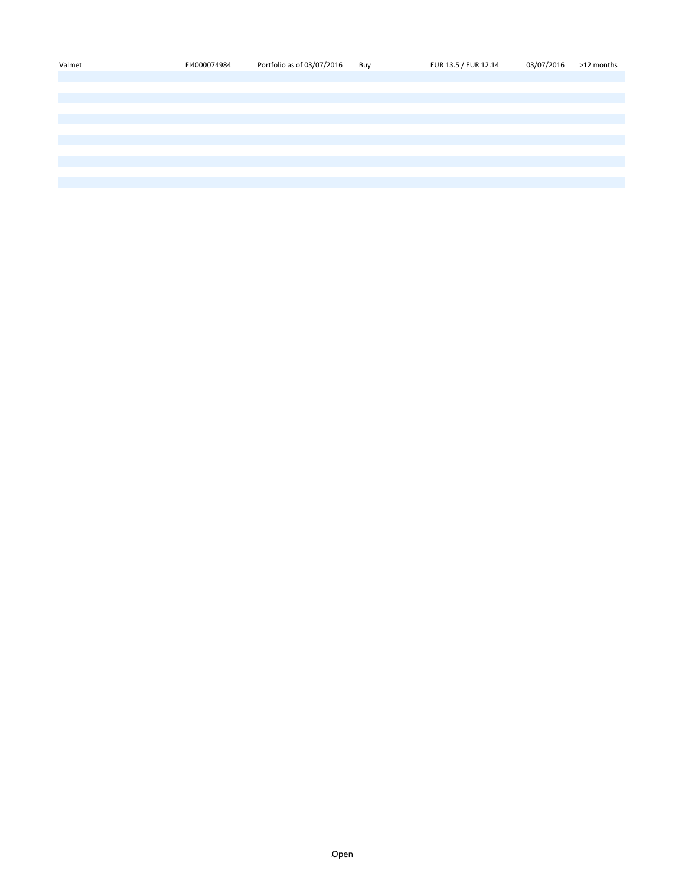| Valmet | FI4000074984 | Portfolio as of 03/07/2016 | Buy | EUR 13.5 / EUR 12.14 | 03/07/2016 | >12 months |
|--------|--------------|----------------------------|-----|----------------------|------------|------------|
|        |              |                            |     |                      |            |            |
|        |              |                            |     |                      |            |            |
|        |              |                            |     |                      |            |            |
|        |              |                            |     |                      |            |            |
|        |              |                            |     |                      |            |            |
|        |              |                            |     |                      |            |            |
|        |              |                            |     |                      |            |            |
|        |              |                            |     |                      |            |            |
|        |              |                            |     |                      |            |            |
|        |              |                            |     |                      |            |            |
|        |              |                            |     |                      |            |            |
|        |              |                            |     |                      |            |            |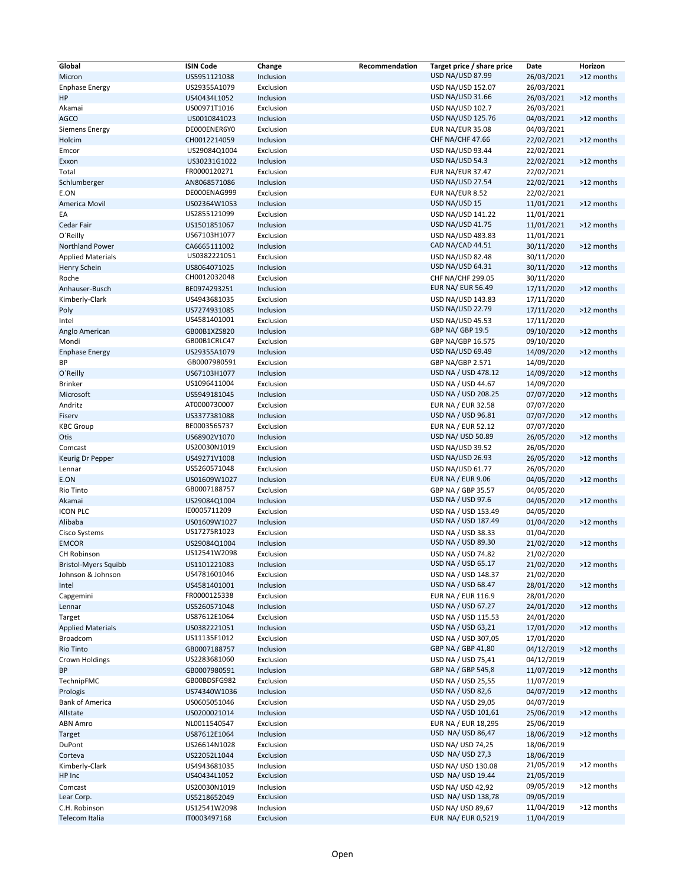| Global                          | <b>ISIN Code</b>             | Change                 | Recommendation | Target price / share price              | Date                     | Horizon    |
|---------------------------------|------------------------------|------------------------|----------------|-----------------------------------------|--------------------------|------------|
| Micron                          | US5951121038                 | Inclusion              |                | <b>USD NA/USD 87.99</b>                 | 26/03/2021               | >12 months |
| <b>Enphase Energy</b>           | US29355A1079                 | Exclusion              |                | USD NA/USD 152.07                       | 26/03/2021               |            |
| HP                              | US40434L1052                 | Inclusion              |                | USD NA/USD 31.66                        | 26/03/2021               | >12 months |
| Akamai                          | US00971T1016                 | Exclusion              |                | <b>USD NA/USD 102.7</b>                 | 26/03/2021               |            |
| <b>AGCO</b>                     | US0010841023                 | Inclusion              |                | USD NA/USD 125.76                       | 04/03/2021               | >12 months |
| Siemens Energy                  | DE000ENER6Y0                 | Exclusion              |                | <b>EUR NA/EUR 35.08</b>                 | 04/03/2021               |            |
| Holcim                          | CH0012214059                 | Inclusion              |                | CHF NA/CHF 47.66                        | 22/02/2021               | >12 months |
| Emcor                           | US29084Q1004                 | Exclusion              |                | USD NA/USD 93.44                        | 22/02/2021               |            |
| Exxon                           | US30231G1022                 | Inclusion              |                | USD NA/USD 54.3                         | 22/02/2021               | >12 months |
| Total                           | FR0000120271                 | Exclusion              |                | <b>EUR NA/EUR 37.47</b>                 | 22/02/2021               |            |
| Schlumberger                    | AN8068571086                 | Inclusion              |                | <b>USD NA/USD 27.54</b>                 | 22/02/2021               | >12 months |
| E.ON                            | DE000ENAG999                 | Exclusion              |                | EUR NA/EUR 8.52                         | 22/02/2021               |            |
| America Movil                   | US02364W1053                 | Inclusion              |                | USD NA/USD 15                           | 11/01/2021               | >12 months |
| EA                              | US2855121099                 | Exclusion              |                | USD NA/USD 141.22                       | 11/01/2021               |            |
| Cedar Fair                      | US1501851067                 | Inclusion              |                | USD NA/USD 41.75                        | 11/01/2021               | >12 months |
| O'Reilly                        | US67103H1077                 | Exclusion              |                | USD NA/USD 483.83                       | 11/01/2021               |            |
| <b>Northland Power</b>          | CA6665111002                 | Inclusion              |                | CAD NA/CAD 44.51                        | 30/11/2020               | >12 months |
| <b>Applied Materials</b>        | US0382221051                 | Exclusion              |                | USD NA/USD 82.48                        | 30/11/2020               |            |
| Henry Schein                    | US8064071025                 | Inclusion              |                | USD NA/USD 64.31                        | 30/11/2020               | >12 months |
| Roche                           | CH0012032048                 | Exclusion              |                | CHF NA/CHF 299.05                       | 30/11/2020               |            |
| Anhauser-Busch                  | BE0974293251                 | Inclusion              |                | <b>EUR NA/ EUR 56.49</b>                | 17/11/2020               | >12 months |
| Kimberly-Clark                  | US4943681035                 | Exclusion              |                | USD NA/USD 143.83                       | 17/11/2020               |            |
| Poly                            | US7274931085                 | Inclusion              |                | <b>USD NA/USD 22.79</b>                 | 17/11/2020               | >12 months |
| Intel                           | US4581401001                 | Exclusion              |                | USD NA/USD 45.53                        | 17/11/2020               |            |
| Anglo American                  | GB00B1XZS820                 | Inclusion              |                | GBP NA/ GBP 19.5                        | 09/10/2020               | >12 months |
| Mondi                           | GB00B1CRLC47                 | Exclusion              |                | GBP NA/GBP 16.575                       | 09/10/2020               |            |
| <b>Enphase Energy</b>           | US29355A1079                 | Inclusion              |                | USD NA/USD 69.49                        | 14/09/2020               | >12 months |
| ВP                              | GB0007980591                 | Exclusion              |                | GBP NA/GBP 2.571                        | 14/09/2020               |            |
| O'Reilly                        | US67103H1077                 | Inclusion              |                | USD NA / USD 478.12                     | 14/09/2020               | >12 months |
| <b>Brinker</b>                  | US1096411004                 | Exclusion              |                | USD NA / USD 44.67                      | 14/09/2020               |            |
| Microsoft                       | US5949181045                 | Inclusion              |                | USD NA / USD 208.25                     | 07/07/2020               | >12 months |
| Andritz                         | AT0000730007                 | Exclusion              |                | EUR NA / EUR 32.58                      | 07/07/2020               |            |
| Fiserv                          | US3377381088                 | Inclusion              |                | USD NA / USD 96.81                      | 07/07/2020               | >12 months |
| <b>KBC Group</b>                | BE0003565737                 | Exclusion              |                | <b>EUR NA / EUR 52.12</b>               | 07/07/2020               |            |
| Otis                            | US68902V1070                 | Inclusion              |                | USD NA/ USD 50.89                       | 26/05/2020               | >12 months |
| Comcast                         | US20030N1019                 | Exclusion              |                | <b>USD NA/USD 39.52</b>                 | 26/05/2020               |            |
| Keurig Dr Pepper                | US49271V1008                 | Inclusion              |                | USD NA/USD 26.93                        | 26/05/2020               | >12 months |
| Lennar                          | US5260571048                 | Exclusion              |                | <b>USD NA/USD 61.77</b>                 | 26/05/2020               |            |
| E.ON                            | US01609W1027                 | Inclusion              |                | <b>EUR NA / EUR 9.06</b>                | 04/05/2020               | >12 months |
| Rio Tinto                       | GB0007188757                 | Exclusion              |                | GBP NA / GBP 35.57                      | 04/05/2020               |            |
| Akamai                          | US29084Q1004                 | Inclusion              |                | USD NA / USD 97.6                       | 04/05/2020               | >12 months |
| <b>ICON PLC</b>                 | IE0005711209                 | Exclusion              |                | USD NA / USD 153.49                     | 04/05/2020               |            |
| Alibaba                         | US01609W1027                 | Inclusion              |                | USD NA / USD 187.49                     | 01/04/2020               | >12 months |
| Cisco Systems                   | US17275R1023                 | Exclusion              |                | USD NA / USD 38.33                      | 01/04/2020               |            |
| <b>EMCOR</b>                    | US29084Q1004                 | Inclusion              |                | USD NA / USD 89.30                      | 21/02/2020               | >12 months |
| <b>CH Robinson</b>              | US12541W2098                 | Exclusion              |                | USD NA / USD 74.82                      | 21/02/2020               |            |
| <b>Bristol-Myers Squibb</b>     | US1101221083                 | Inclusion              |                | USD NA / USD 65.17                      | 21/02/2020               | >12 months |
| Johnson & Johnson               | US4781601046                 | Exclusion              |                | USD NA / USD 148.37                     | 21/02/2020               |            |
| Intel                           | US4581401001                 | Inclusion              |                | USD NA / USD 68.47                      | 28/01/2020               | >12 months |
|                                 | FR0000125338                 | Exclusion              |                | EUR NA / EUR 116.9                      | 28/01/2020               |            |
| Capgemini<br>Lennar             | US5260571048                 | Inclusion              |                | USD NA / USD 67.27                      | 24/01/2020               | >12 months |
| Target                          | US87612E1064                 | Exclusion              |                | USD NA / USD 115.53                     | 24/01/2020               |            |
| <b>Applied Materials</b>        | US0382221051                 | Inclusion              |                | USD NA / USD 63,21                      | 17/01/2020               | >12 months |
| Broadcom                        | US11135F1012                 | Exclusion              |                | USD NA / USD 307,05                     | 17/01/2020               |            |
| Rio Tinto                       | GB0007188757                 | Inclusion              |                | GBP NA / GBP 41,80                      | 04/12/2019               | >12 months |
| Crown Holdings                  | US2283681060                 | Exclusion              |                | USD NA / USD 75,41                      | 04/12/2019               |            |
| BP                              | GB0007980591                 | Inclusion              |                | GBP NA / GBP 545,8                      | 11/07/2019               | >12 months |
| TechnipFMC                      | GB00BDSFG982                 | Exclusion              |                | USD NA / USD 25,55                      | 11/07/2019               |            |
| Prologis                        | US74340W1036                 | Inclusion              |                | USD NA / USD 82,6                       | 04/07/2019               | >12 months |
| <b>Bank of America</b>          | US0605051046                 | Exclusion              |                | USD NA / USD 29,05                      | 04/07/2019               |            |
| Allstate                        | US0200021014                 | Inclusion              |                | USD NA / USD 101,61                     | 25/06/2019               | >12 months |
|                                 |                              |                        |                | EUR NA / EUR 18,295                     | 25/06/2019               |            |
| ABN Amro                        | NL0011540547<br>US87612E1064 | Exclusion<br>Inclusion |                | USD NA/ USD 86,47                       | 18/06/2019               | >12 months |
| Target                          |                              |                        |                |                                         | 18/06/2019               |            |
| DuPont                          | US26614N1028                 | Exclusion              |                | USD NA/ USD 74,25<br>USD NA/ USD 27,3   |                          |            |
| Corteva                         | US22052L1044                 | Exclusion              |                |                                         | 18/06/2019<br>21/05/2019 | >12 months |
| Kimberly-Clark<br>HP Inc        | US4943681035<br>US40434L1052 | Inclusion<br>Exclusion |                | USD NA/ USD 130.08<br>USD NA/ USD 19.44 | 21/05/2019               |            |
|                                 |                              |                        |                |                                         | 09/05/2019               |            |
| Comcast                         | US20030N1019                 | Inclusion              |                | USD NA/ USD 42,92                       | 09/05/2019               | >12 months |
| Lear Corp.                      | US5218652049                 | Exclusion              |                | USD NA/ USD 138,78                      | 11/04/2019               | >12 months |
| C.H. Robinson<br>Telecom Italia | US12541W2098                 | Inclusion              |                | USD NA/ USD 89,67<br>EUR NA/ EUR 0,5219 |                          |            |
|                                 | IT0003497168                 | Exclusion              |                |                                         | 11/04/2019               |            |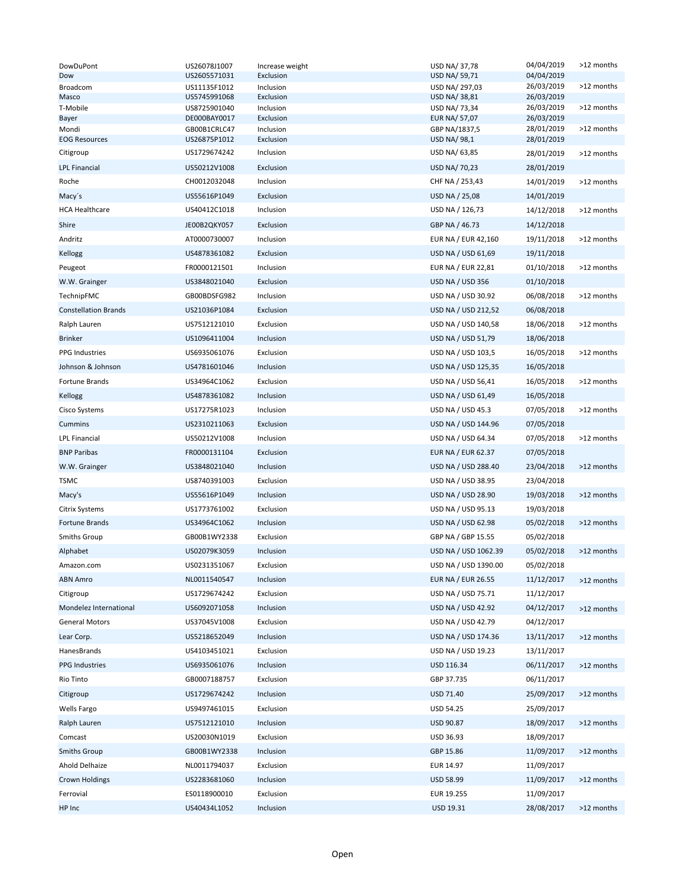| DowDuPont                   | US26078J1007                 | Increase weight        | USD NA/37,78                   | 04/04/2019               | >12 months |
|-----------------------------|------------------------------|------------------------|--------------------------------|--------------------------|------------|
| Dow                         | US2605571031                 | Exclusion              | USD NA/ 59,71                  | 04/04/2019               |            |
| Broadcom<br>Masco           | US11135F1012<br>US5745991068 | Inclusion<br>Exclusion | USD NA/ 297,03<br>USD NA/38,81 | 26/03/2019<br>26/03/2019 | >12 months |
| T-Mobile                    | US8725901040                 | Inclusion              | USD NA/ 73,34                  | 26/03/2019               | >12 months |
| Bayer                       | DE000BAY0017                 | Exclusion              | EUR NA/ 57,07                  | 26/03/2019               |            |
| Mondi                       | GB00B1CRLC47                 | Inclusion              | GBP NA/1837,5                  | 28/01/2019               | >12 months |
| <b>EOG Resources</b>        | US26875P1012                 | Exclusion              | USD NA/ 98,1                   | 28/01/2019               |            |
| Citigroup                   | US1729674242                 | Inclusion              | USD NA/ 63,85                  | 28/01/2019               | >12 months |
| <b>LPL Financial</b>        | US50212V1008                 | Exclusion              | USD NA/ 70,23                  | 28/01/2019               |            |
| Roche                       | CH0012032048                 | Inclusion              | CHF NA / 253,43                | 14/01/2019               | >12 months |
| Macy's                      | US55616P1049                 | Exclusion              | <b>USD NA / 25,08</b>          | 14/01/2019               |            |
| <b>HCA Healthcare</b>       | US40412C1018                 | Inclusion              | USD NA / 126,73                | 14/12/2018               | >12 months |
| Shire                       | JE00B2QKY057                 | Exclusion              | GBP NA / 46.73                 | 14/12/2018               |            |
| Andritz                     | AT0000730007                 | Inclusion              | EUR NA / EUR 42,160            | 19/11/2018               | >12 months |
| Kellogg                     | US4878361082                 | Exclusion              | USD NA / USD 61,69             | 19/11/2018               |            |
| Peugeot                     | FR0000121501                 | Inclusion              | EUR NA / EUR 22,81             | 01/10/2018               | >12 months |
| W.W. Grainger               | US3848021040                 | Exclusion              | USD NA / USD 356               | 01/10/2018               |            |
| TechnipFMC                  | GB00BDSFG982                 | Inclusion              | USD NA / USD 30.92             | 06/08/2018               | >12 months |
| <b>Constellation Brands</b> | US21036P1084                 | Exclusion              | USD NA / USD 212,52            | 06/08/2018               |            |
| Ralph Lauren                | US7512121010                 | Exclusion              | USD NA / USD 140,58            | 18/06/2018               | >12 months |
| <b>Brinker</b>              | US1096411004                 | Inclusion              | USD NA / USD 51,79             | 18/06/2018               |            |
| <b>PPG Industries</b>       | US6935061076                 | Exclusion              | USD NA / USD 103,5             | 16/05/2018               | >12 months |
| Johnson & Johnson           | US4781601046                 | Inclusion              | USD NA / USD 125,35            | 16/05/2018               |            |
| Fortune Brands              | US34964C1062                 | Exclusion              | USD NA / USD 56,41             | 16/05/2018               | >12 months |
| Kellogg                     | US4878361082                 | Inclusion              | USD NA / USD 61,49             | 16/05/2018               |            |
|                             |                              |                        |                                |                          |            |
| Cisco Systems               | US17275R1023                 | Inclusion              | USD NA / USD 45.3              | 07/05/2018               | >12 months |
| Cummins                     | US2310211063                 | Exclusion              | USD NA / USD 144.96            | 07/05/2018               |            |
| <b>LPL Financial</b>        | US50212V1008                 | Inclusion              | USD NA / USD 64.34             | 07/05/2018               | >12 months |
| <b>BNP Paribas</b>          | FR0000131104                 | Exclusion              | <b>EUR NA / EUR 62.37</b>      | 07/05/2018               |            |
| W.W. Grainger               | US3848021040                 | Inclusion              | USD NA / USD 288.40            | 23/04/2018               | >12 months |
| TSMC                        | US8740391003                 | Exclusion              | USD NA / USD 38.95             | 23/04/2018               |            |
| Macy's                      | US55616P1049                 | Inclusion              | USD NA / USD 28.90             | 19/03/2018               | >12 months |
| Citrix Systems              | US1773761002                 | Exclusion              | USD NA / USD 95.13             | 19/03/2018               |            |
| Fortune Brands              | US34964C1062                 | Inclusion              | USD NA / USD 62.98             | 05/02/2018               | >12 months |
| <b>Smiths Group</b>         | GB00B1WY2338                 | Exclusion              | GBP NA / GBP 15.55             | 05/02/2018               |            |
| Alphabet                    | US02079K3059                 | Inclusion              | USD NA / USD 1062.39           | 05/02/2018               | >12 months |
| Amazon.com                  | US0231351067                 | Exclusion              | USD NA / USD 1390.00           | 05/02/2018               |            |
| <b>ABN Amro</b>             | NL0011540547                 | Inclusion              | <b>EUR NA / EUR 26.55</b>      | 11/12/2017               | >12 months |
| Citigroup                   | US1729674242                 | Exclusion              | USD NA / USD 75.71             | 11/12/2017               |            |
| Mondelez International      | US6092071058                 | Inclusion              | USD NA / USD 42.92             | 04/12/2017               | >12 months |
| <b>General Motors</b>       | US37045V1008                 | Exclusion              | USD NA / USD 42.79             | 04/12/2017               |            |
| Lear Corp.                  | US5218652049                 | Inclusion              | USD NA / USD 174.36            | 13/11/2017               | >12 months |
| HanesBrands                 | US4103451021                 | Exclusion              | USD NA / USD 19.23             | 13/11/2017               |            |
| <b>PPG Industries</b>       | US6935061076                 | Inclusion              | USD 116.34                     | 06/11/2017               | >12 months |
| Rio Tinto                   | GB0007188757                 | Exclusion              | GBP 37.735                     | 06/11/2017               |            |
| Citigroup                   | US1729674242                 | Inclusion              | USD 71.40                      | 25/09/2017               | >12 months |
| Wells Fargo                 | US9497461015                 | Exclusion              | USD 54.25                      | 25/09/2017               |            |
| Ralph Lauren                | US7512121010                 | Inclusion              | USD 90.87                      | 18/09/2017               | >12 months |
| Comcast                     | US20030N1019                 | Exclusion              | USD 36.93                      | 18/09/2017               |            |
| <b>Smiths Group</b>         | GB00B1WY2338                 | Inclusion              | GBP 15.86                      | 11/09/2017               | >12 months |
| Ahold Delhaize              | NL0011794037                 | Exclusion              | EUR 14.97                      | 11/09/2017               |            |
| <b>Crown Holdings</b>       | US2283681060                 | Inclusion              |                                | 11/09/2017               | >12 months |
|                             |                              |                        | USD 58.99                      |                          |            |
| Ferrovial                   | ES0118900010                 | Exclusion              | EUR 19.255                     | 11/09/2017               |            |
| HP Inc                      | US40434L1052                 | Inclusion              | USD 19.31                      | 28/08/2017               | >12 months |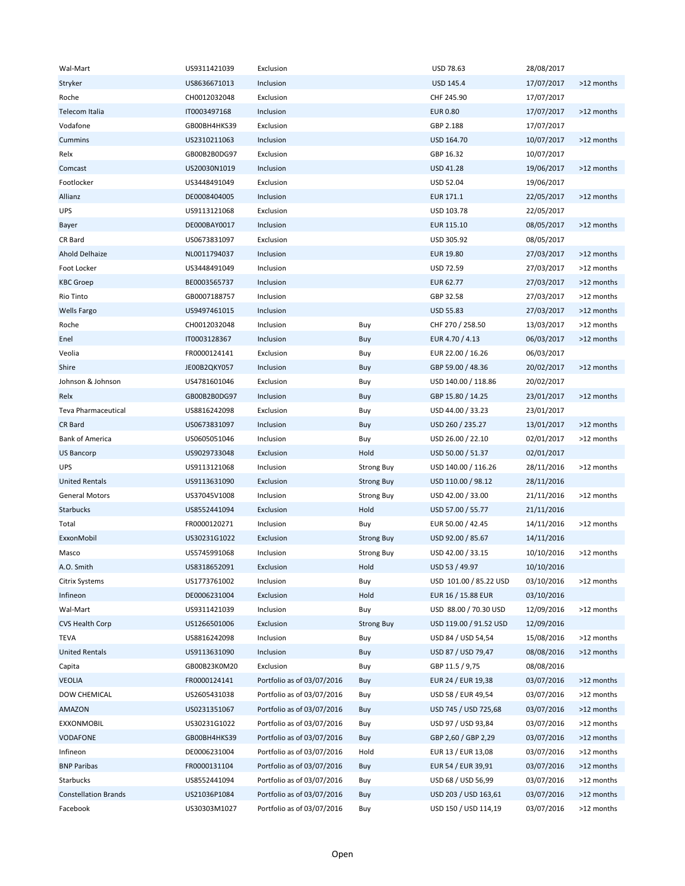| Wal-Mart                    | US9311421039 | Exclusion                  |                   | USD 78.63              | 28/08/2017 |            |
|-----------------------------|--------------|----------------------------|-------------------|------------------------|------------|------------|
| Stryker                     | US8636671013 | Inclusion                  |                   | USD 145.4              | 17/07/2017 | >12 months |
| Roche                       | CH0012032048 | Exclusion                  |                   | CHF 245.90             | 17/07/2017 |            |
| Telecom Italia              | IT0003497168 | Inclusion                  |                   | <b>EUR 0.80</b>        | 17/07/2017 | >12 months |
| Vodafone                    | GB00BH4HKS39 | Exclusion                  |                   | GBP 2.188              | 17/07/2017 |            |
| Cummins                     | US2310211063 | Inclusion                  |                   | USD 164.70             | 10/07/2017 | >12 months |
| Relx                        | GB00B2B0DG97 | Exclusion                  |                   | GBP 16.32              | 10/07/2017 |            |
| Comcast                     | US20030N1019 | Inclusion                  |                   | USD 41.28              | 19/06/2017 | >12 months |
| Footlocker                  | US3448491049 | Exclusion                  |                   | USD 52.04              | 19/06/2017 |            |
| Allianz                     | DE0008404005 | Inclusion                  |                   | EUR 171.1              | 22/05/2017 | >12 months |
| UPS                         | US9113121068 | Exclusion                  |                   | USD 103.78             | 22/05/2017 |            |
| Bayer                       | DE000BAY0017 | Inclusion                  |                   | EUR 115.10             | 08/05/2017 | >12 months |
| CR Bard                     | US0673831097 | Exclusion                  |                   | USD 305.92             | 08/05/2017 |            |
| Ahold Delhaize              | NL0011794037 | Inclusion                  |                   | <b>EUR 19.80</b>       | 27/03/2017 | >12 months |
| Foot Locker                 | US3448491049 | Inclusion                  |                   | USD 72.59              | 27/03/2017 | >12 months |
| <b>KBC Groep</b>            | BE0003565737 | Inclusion                  |                   | EUR 62.77              | 27/03/2017 | >12 months |
| Rio Tinto                   | GB0007188757 | Inclusion                  |                   | GBP 32.58              | 27/03/2017 | >12 months |
|                             | US9497461015 |                            |                   | <b>USD 55.83</b>       | 27/03/2017 | >12 months |
| <b>Wells Fargo</b>          | CH0012032048 | Inclusion                  |                   |                        |            | >12 months |
| Roche                       |              | Inclusion                  | Buy               | CHF 270 / 258.50       | 13/03/2017 |            |
| Enel                        | IT0003128367 | Inclusion                  | Buy               | EUR 4.70 / 4.13        | 06/03/2017 | >12 months |
| Veolia                      | FR0000124141 | Exclusion                  | Buy               | EUR 22.00 / 16.26      | 06/03/2017 |            |
| Shire                       | JE00B2QKY057 | Inclusion                  | Buy               | GBP 59.00 / 48.36      | 20/02/2017 | >12 months |
| Johnson & Johnson           | US4781601046 | Exclusion                  | Buy               | USD 140.00 / 118.86    | 20/02/2017 |            |
| Relx                        | GB00B2B0DG97 | Inclusion                  | Buy               | GBP 15.80 / 14.25      | 23/01/2017 | >12 months |
| Teva Pharmaceutical         | US8816242098 | Exclusion                  | Buy               | USD 44.00 / 33.23      | 23/01/2017 |            |
| CR Bard                     | US0673831097 | Inclusion                  | Buy               | USD 260 / 235.27       | 13/01/2017 | >12 months |
| <b>Bank of America</b>      | US0605051046 | Inclusion                  | Buy               | USD 26.00 / 22.10      | 02/01/2017 | >12 months |
| <b>US Bancorp</b>           | US9029733048 | Exclusion                  | Hold              | USD 50.00 / 51.37      | 02/01/2017 |            |
| <b>UPS</b>                  | US9113121068 | Inclusion                  | <b>Strong Buy</b> | USD 140.00 / 116.26    | 28/11/2016 | >12 months |
| <b>United Rentals</b>       | US9113631090 | Exclusion                  | <b>Strong Buy</b> | USD 110.00 / 98.12     | 28/11/2016 |            |
| <b>General Motors</b>       | US37045V1008 | Inclusion                  | <b>Strong Buy</b> | USD 42.00 / 33.00      | 21/11/2016 | >12 months |
| Starbucks                   | US8552441094 | Exclusion                  | Hold              | USD 57.00 / 55.77      | 21/11/2016 |            |
| Total                       | FR0000120271 | Inclusion                  | Buy               | EUR 50.00 / 42.45      | 14/11/2016 | >12 months |
| ExxonMobil                  | US30231G1022 | Exclusion                  | <b>Strong Buy</b> | USD 92.00 / 85.67      | 14/11/2016 |            |
| Masco                       | US5745991068 | Inclusion                  | <b>Strong Buy</b> | USD 42.00 / 33.15      | 10/10/2016 | >12 months |
| A.O. Smith                  | US8318652091 | Exclusion                  | Hold              | USD 53 / 49.97         | 10/10/2016 |            |
| Citrix Systems              | US1773761002 | Inclusion                  | Buy               | USD 101.00 / 85.22 USD | 03/10/2016 | >12 months |
| Infineon                    | DE0006231004 | Exclusion                  | Hold              | EUR 16 / 15.88 EUR     | 03/10/2016 |            |
| Wal-Mart                    | US9311421039 | Inclusion                  | Buy               | USD 88.00 / 70.30 USD  | 12/09/2016 | >12 months |
| <b>CVS Health Corp</b>      | US1266501006 | Exclusion                  | <b>Strong Buy</b> | USD 119.00 / 91.52 USD | 12/09/2016 |            |
| <b>TEVA</b>                 | US8816242098 | Inclusion                  | Buy               | USD 84 / USD 54,54     | 15/08/2016 | >12 months |
| <b>United Rentals</b>       | US9113631090 | Inclusion                  | Buy               | USD 87 / USD 79,47     | 08/08/2016 | >12 months |
| Capita                      | GB00B23K0M20 | Exclusion                  | Buy               | GBP 11.5 / 9,75        | 08/08/2016 |            |
| <b>VEOLIA</b>               | FR0000124141 | Portfolio as of 03/07/2016 | Buy               | EUR 24 / EUR 19,38     | 03/07/2016 | >12 months |
| DOW CHEMICAL                | US2605431038 | Portfolio as of 03/07/2016 | Buy               | USD 58 / EUR 49,54     | 03/07/2016 | >12 months |
| AMAZON                      | US0231351067 | Portfolio as of 03/07/2016 | Buy               | USD 745 / USD 725,68   | 03/07/2016 | >12 months |
| EXXONMOBIL                  | US30231G1022 | Portfolio as of 03/07/2016 | Buy               | USD 97 / USD 93,84     | 03/07/2016 | >12 months |
| <b>VODAFONE</b>             | GB00BH4HKS39 | Portfolio as of 03/07/2016 | Buy               | GBP 2,60 / GBP 2,29    | 03/07/2016 | >12 months |
| Infineon                    | DE0006231004 | Portfolio as of 03/07/2016 | Hold              | EUR 13 / EUR 13,08     | 03/07/2016 | >12 months |
| <b>BNP Paribas</b>          | FR0000131104 | Portfolio as of 03/07/2016 | Buy               | EUR 54 / EUR 39,91     | 03/07/2016 | >12 months |
| Starbucks                   | US8552441094 | Portfolio as of 03/07/2016 | Buy               | USD 68 / USD 56,99     | 03/07/2016 | >12 months |
| <b>Constellation Brands</b> | US21036P1084 | Portfolio as of 03/07/2016 | Buy               | USD 203 / USD 163,61   | 03/07/2016 | >12 months |
| Facebook                    | US30303M1027 | Portfolio as of 03/07/2016 | Buy               | USD 150 / USD 114,19   | 03/07/2016 | >12 months |